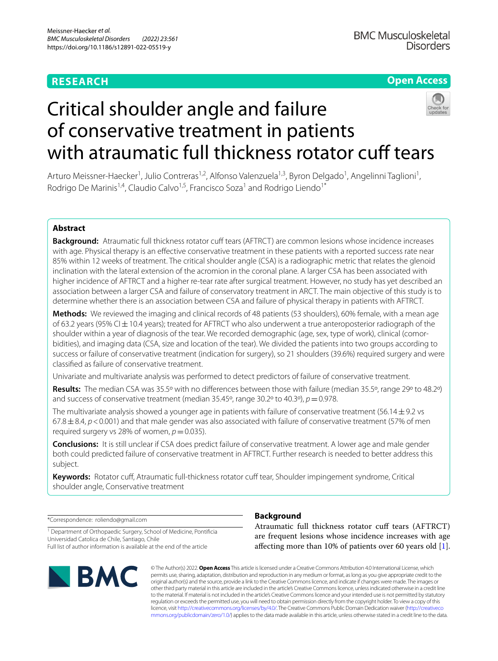# **RESEARCH**

## **Open Access**

# Critical shoulder angle and failure of conservative treatment in patients with atraumatic full thickness rotator cuff tears

Arturo Meissner-Haecker<sup>1</sup>, Julio Contreras<sup>1,2</sup>, Alfonso Valenzuela<sup>1,3</sup>, Byron Delgado<sup>1</sup>, Angelinni Taglioni<sup>1</sup>, Rodrigo De Marinis<sup>1,4</sup>, Claudio Calvo<sup>1,5</sup>, Francisco Soza<sup>1</sup> and Rodrigo Liendo<sup>1\*</sup>

## **Abstract**

**Background:** Atraumatic full thickness rotator cuff tears (AFTRCT) are common lesions whose incidence increases with age. Physical therapy is an efective conservative treatment in these patients with a reported success rate near 85% within 12 weeks of treatment. The critical shoulder angle (CSA) is a radiographic metric that relates the glenoid inclination with the lateral extension of the acromion in the coronal plane. A larger CSA has been associated with higher incidence of AFTRCT and a higher re-tear rate after surgical treatment. However, no study has yet described an association between a larger CSA and failure of conservatory treatment in ARCT. The main objective of this study is to determine whether there is an association between CSA and failure of physical therapy in patients with AFTRCT.

**Methods:** We reviewed the imaging and clinical records of 48 patients (53 shoulders), 60% female, with a mean age of 63.2 years (95% CI $\pm$ 10.4 years); treated for AFTRCT who also underwent a true anteroposterior radiograph of the shoulder within a year of diagnosis of the tear. We recorded demographic (age, sex, type of work), clinical (comorbidities), and imaging data (CSA, size and location of the tear). We divided the patients into two groups according to success or failure of conservative treatment (indication for surgery), so 21 shoulders (39.6%) required surgery and were classifed as failure of conservative treatment.

Univariate and multivariate analysis was performed to detect predictors of failure of conservative treatment.

**Results:** The median CSA was 35.5º with no diferences between those with failure (median 35.5º, range 29º to 48.2º) and success of conservative treatment (median  $35.45^\circ$ , range  $30.2^\circ$  to  $40.3^\circ$ ),  $p=0.978$ .

The multivariate analysis showed a younger age in patients with failure of conservative treatment (56.14 $\pm$ 9.2 vs  $67.8 \pm 8.4$ ,  $p < 0.001$ ) and that male gender was also associated with failure of conservative treatment (57% of men required surgery vs 28% of women,  $p=0.035$ ).

**Conclusions:** It is still unclear if CSA does predict failure of conservative treatment. A lower age and male gender both could predicted failure of conservative treatment in AFTRCT. Further research is needed to better address this subject.

Keywords: Rotator cuff, Atraumatic full-thickness rotator cuff tear, Shoulder impingement syndrome, Critical shoulder angle, Conservative treatment

\*Correspondence: roliendo@gmail.com

<sup>1</sup> Department of Orthopaedic Surgery, School of Medicine, Pontificia Universidad Catolica de Chile, Santiago, Chile Full list of author information is available at the end of the article



## **Background**

Atraumatic full thickness rotator cuf tears (AFTRCT) are frequent lesions whose incidence increases with age afecting more than 10% of patients over 60 years old [\[1](#page-5-0)].

© The Author(s) 2022. **Open Access** This article is licensed under a Creative Commons Attribution 4.0 International License, which permits use, sharing, adaptation, distribution and reproduction in any medium or format, as long as you give appropriate credit to the original author(s) and the source, provide a link to the Creative Commons licence, and indicate if changes were made. The images or other third party material in this article are included in the article's Creative Commons licence, unless indicated otherwise in a credit line to the material. If material is not included in the article's Creative Commons licence and your intended use is not permitted by statutory regulation or exceeds the permitted use, you will need to obtain permission directly from the copyright holder. To view a copy of this licence, visit [http://creativecommons.org/licenses/by/4.0/.](http://creativecommons.org/licenses/by/4.0/) The Creative Commons Public Domain Dedication waiver ([http://creativeco](http://creativecommons.org/publicdomain/zero/1.0/) [mmons.org/publicdomain/zero/1.0/](http://creativecommons.org/publicdomain/zero/1.0/)) applies to the data made available in this article, unless otherwise stated in a credit line to the data.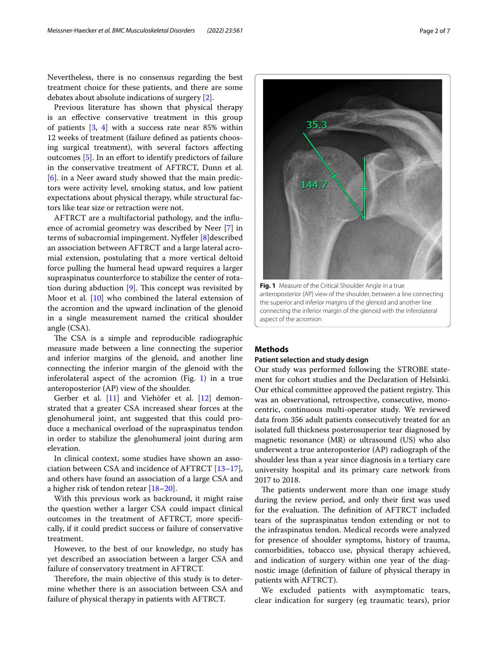Nevertheless, there is no consensus regarding the best treatment choice for these patients, and there are some debates about absolute indications of surgery [[2\]](#page-5-1).

Previous literature has shown that physical therapy is an efective conservative treatment in this group of patients [[3](#page-5-2), [4](#page-5-3)] with a success rate near 85% within 12 weeks of treatment (failure defned as patients choosing surgical treatment), with several factors afecting outcomes [\[5](#page-5-4)]. In an efort to identify predictors of failure in the conservative treatment of AFTRCT, Dunn et al. [[6\]](#page-5-5). in a Neer award study showed that the main predictors were activity level, smoking status, and low patient expectations about physical therapy, while structural factors like tear size or retraction were not.

AFTRCT are a multifactorial pathology, and the infuence of acromial geometry was described by Neer [\[7](#page-5-6)] in terms of subacromial impingement. Nyfeler [[8\]](#page-5-7)described an association between AFTRCT and a large lateral acromial extension, postulating that a more vertical deltoid force pulling the humeral head upward requires a larger supraspinatus counterforce to stabilize the center of rotation during abduction  $[9]$  $[9]$ . This concept was revisited by Moor et al. [\[10](#page-5-9)] who combined the lateral extension of the acromion and the upward inclination of the glenoid in a single measurement named the critical shoulder angle (CSA).

The CSA is a simple and reproducible radiographic measure made between a line connecting the superior and inferior margins of the glenoid, and another line connecting the inferior margin of the glenoid with the inferolateral aspect of the acromion (Fig. [1\)](#page-1-0) in a true anteroposterior (AP) view of the shoulder.

Gerber et al. [\[11\]](#page-5-10) and Viehöfer et al. [\[12\]](#page-5-11) demonstrated that a greater CSA increased shear forces at the glenohumeral joint, ant suggested that this could produce a mechanical overload of the supraspinatus tendon in order to stabilize the glenohumeral joint during arm elevation.

In clinical context, some studies have shown an association between CSA and incidence of AFTRCT [[13](#page-5-12)[–17](#page-5-13)], and others have found an association of a large CSA and a higher risk of tendon retear [[18–](#page-5-14)[20\]](#page-5-15).

With this previous work as backround, it might raise the question wether a larger CSA could impact clinical outcomes in the treatment of AFTRCT, more specifcally, if it could predict success or failure of conservative treatment.

However, to the best of our knowledge, no study has yet described an association between a larger CSA and failure of conservatory treatment in AFTRCT.

Therefore, the main objective of this study is to determine whether there is an association between CSA and failure of physical therapy in patients with AFTRCT.

<span id="page-1-0"></span>**Fig. 1** Measure of the Critical Shoulder Angle in a true anteroposterior (AP) view of the shoulder, between a line connecting the superior and inferior margins of the glenoid and another line connecting the inferior margin of the glenoid with the inferolateral aspect of the acromion

## **Methods**

## **Patient selection and study design**

Our study was performed following the STROBE statement for cohort studies and the Declaration of Helsinki. Our ethical committee approved the patient registry. This was an observational, retrospective, consecutive, monocentric, continuous multi-operator study. We reviewed data from 356 adult patients consecutively treated for an isolated full thickness posterosuperior tear diagnosed by magnetic resonance (MR) or ultrasound (US) who also underwent a true anteroposterior (AP) radiograph of the shoulder less than a year since diagnosis in a tertiary care university hospital and its primary care network from 2017 to 2018.

The patients underwent more than one image study during the review period, and only their frst was used for the evaluation. The definition of AFTRCT included tears of the supraspinatus tendon extending or not to the infraspinatus tendon. Medical records were analyzed for presence of shoulder symptoms, history of trauma, comorbidities, tobacco use, physical therapy achieved, and indication of surgery within one year of the diagnostic image (defnition of failure of physical therapy in patients with AFTRCT).

We excluded patients with asymptomatic tears, clear indication for surgery (eg traumatic tears), prior

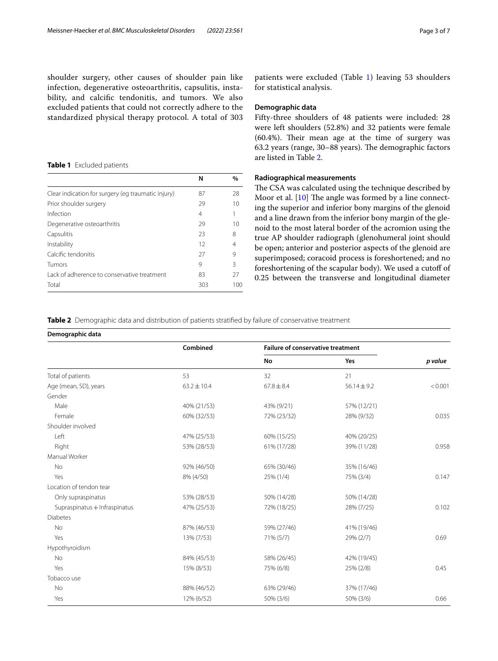shoulder surgery, other causes of shoulder pain like infection, degenerative osteoarthritis, capsulitis, instability, and calcifc tendonitis, and tumors. We also excluded patients that could not correctly adhere to the standardized physical therapy protocol. A total of 303

#### <span id="page-2-0"></span>**Table 1** Excluded patients

|                                                    | N   | %   |
|----------------------------------------------------|-----|-----|
| Clear indication for surgery (eg traumatic injury) | 87  | 28  |
| Prior shoulder surgery                             | 29  | 10  |
| Infection                                          | 4   |     |
| Degenerative osteoarthritis                        | 29  | 10  |
| Capsulitis                                         | 23  | 8   |
| Instability                                        | 12  | 4   |
| Calcific tendonitis                                | 27  | 9   |
| Tumors                                             | 9   | Β   |
| I ack of adherence to conservative treatment       | 83  | 27  |
| Total                                              | 303 | 100 |

patients were excluded (Table [1](#page-2-0)) leaving 53 shoulders for statistical analysis.

#### **Demographic data**

Fifty-three shoulders of 48 patients were included: 28 were left shoulders (52.8%) and 32 patients were female  $(60.4%)$ . Their mean age at the time of surgery was 63.2 years (range, 30–88 years). The demographic factors are listed in Table [2.](#page-2-1)

## **Radiographical measurements**

The CSA was calculated using the technique described by Moor et al.  $[10]$  $[10]$  The angle was formed by a line connecting the superior and inferior bony margins of the glenoid and a line drawn from the inferior bony margin of the glenoid to the most lateral border of the acromion using the true AP shoulder radiograph (glenohumeral joint should be open; anterior and posterior aspects of the glenoid are superimposed; coracoid process is foreshortened; and no foreshortening of the scapular body). We used a cutof of 0.25 between the transverse and longitudinal diameter

## <span id="page-2-1"></span>**Table 2** Demographic data and distribution of patients stratifed by failure of conservative treatment

| Demographic data |  |
|------------------|--|
|------------------|--|

|                               | Combined        | <b>Failure of conservative treatment</b> |                 |         |
|-------------------------------|-----------------|------------------------------------------|-----------------|---------|
|                               |                 | No                                       | Yes             | p value |
| Total of patients             | 53              | 32                                       | 21              |         |
| Age (mean, SD), years         | $63.2 \pm 10.4$ | $67.8 \pm 8.4$                           | $56.14 \pm 9.2$ | < 0.001 |
| Gender                        |                 |                                          |                 |         |
| Male                          | 40% (21/53)     | 43% (9/21)                               | 57% (12/21)     |         |
| Female                        | 60% (32/53)     | 72% (23/32)                              | 28% (9/32)      | 0.035   |
| Shoulder involved             |                 |                                          |                 |         |
| Left                          | 47% (25/53)     | 60% (15/25)                              | 40% (20/25)     |         |
| Right                         | 53% (28/53)     | 61% (17/28)                              | 39% (11/28)     | 0.958   |
| Manual Worker                 |                 |                                          |                 |         |
| No                            | 92% (46/50)     | 65% (30/46)                              | 35% (16/46)     |         |
| Yes                           | 8% (4/50)       | 25% (1/4)                                | 75% (3/4)       | 0.147   |
| Location of tendon tear       |                 |                                          |                 |         |
| Only supraspinatus            | 53% (28/53)     | 50% (14/28)                              | 50% (14/28)     |         |
| Supraspinatus + Infraspinatus | 47% (25/53)     | 72% (18/25)                              | 28% (7/25)      | 0.102   |
| <b>Diabetes</b>               |                 |                                          |                 |         |
| No                            | 87% (46/53)     | 59% (27/46)                              | 41% (19/46)     |         |
| Yes                           | 13% (7/53)      | 71% (5/7)                                | 29% (2/7)       | 0.69    |
| Hypothyroidism                |                 |                                          |                 |         |
| No                            | 84% (45/53)     | 58% (26/45)                              | 42% (19/45)     |         |
| Yes                           | 15% (8/53)      | 75% (6/8)                                | 25% (2/8)       | 0.45    |
| Tobacco use                   |                 |                                          |                 |         |
| <b>No</b>                     | 88% (46/52)     | 63% (29/46)                              | 37% (17/46)     |         |
| Yes                           | 12% (6/52)      | 50% (3/6)                                | 50% (3/6)       | 0.66    |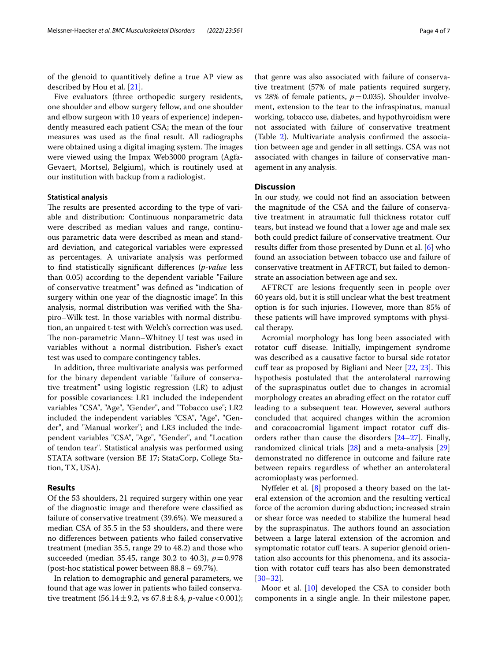of the glenoid to quantitively defne a true AP view as described by Hou et al. [[21\]](#page-5-16).

Five evaluators (three orthopedic surgery residents, one shoulder and elbow surgery fellow, and one shoulder and elbow surgeon with 10 years of experience) independently measured each patient CSA; the mean of the four measures was used as the fnal result. All radiographs were obtained using a digital imaging system. The images were viewed using the Impax Web3000 program (Agfa-Gevaert, Mortsel, Belgium), which is routinely used at our institution with backup from a radiologist.

#### **Statistical analysis**

The results are presented according to the type of variable and distribution: Continuous nonparametric data were described as median values and range, continuous parametric data were described as mean and standard deviation, and categorical variables were expressed as percentages. A univariate analysis was performed to fnd statistically signifcant diferences (*p-value* less than 0.05) according to the dependent variable "Failure of conservative treatment" was defned as "indication of surgery within one year of the diagnostic image". In this analysis, normal distribution was verifed with the Shapiro–Wilk test. In those variables with normal distribution, an unpaired t-test with Welch's correction was used. The non-parametric Mann–Whitney U test was used in variables without a normal distribution. Fisher's exact test was used to compare contingency tables.

In addition, three multivariate analysis was performed for the binary dependent variable "failure of conservative treatment" using logistic regression (LR) to adjust for possible covariances: LR1 included the independent variables "CSA", "Age", "Gender", and "Tobacco use"; LR2 included the independent variables "CSA", "Age", "Gender", and "Manual worker"; and LR3 included the independent variables "CSA", "Age", "Gender", and "Location of tendon tear". Statistical analysis was performed using STATA software (version BE 17; StataCorp, College Station, TX, USA).

## **Results**

Of the 53 shoulders, 21 required surgery within one year of the diagnostic image and therefore were classifed as failure of conservative treatment (39.6%). We measured a median CSA of 35.5 in the 53 shoulders, and there were no diferences between patients who failed conservative treatment (median 35.5, range 29 to 48.2) and those who succeeded (median 35.45, range 30.2 to 40.3), *p*=0.978 (post-hoc statistical power between 88.8 – 69.7%).

In relation to demographic and general parameters, we found that age was lower in patients who failed conservative treatment  $(56.14 \pm 9.2, \text{ vs } 67.8 \pm 8.4, \text{ } p\text{-value} < 0.001);$ 

that genre was also associated with failure of conservative treatment (57% of male patients required surgery, vs 28% of female patients,  $p=0.035$ ). Shoulder involvement, extension to the tear to the infraspinatus, manual working, tobacco use, diabetes, and hypothyroidism were not associated with failure of conservative treatment (Table [2\)](#page-2-1). Multivariate analysis confrmed the association between age and gender in all settings. CSA was not associated with changes in failure of conservative management in any analysis.

## **Discussion**

In our study, we could not fnd an association between the magnitude of the CSA and the failure of conservative treatment in atraumatic full thickness rotator cuf tears, but instead we found that a lower age and male sex both could predict failure of conservative treatment. Our results difer from those presented by Dunn et al. [[6\]](#page-5-5) who found an association between tobacco use and failure of conservative treatment in AFTRCT, but failed to demonstrate an association between age and sex.

AFTRCT are lesions frequently seen in people over 60 years old, but it is still unclear what the best treatment option is for such injuries. However, more than 85% of these patients will have improved symptoms with physical therapy.

Acromial morphology has long been associated with rotator cuff disease. Initially, impingement syndrome was described as a causative factor to bursal side rotator cuff tear as proposed by Bigliani and Neer [[22](#page-5-17), [23\]](#page-5-18). This hypothesis postulated that the anterolateral narrowing of the supraspinatus outlet due to changes in acromial morphology creates an abrading efect on the rotator cuf leading to a subsequent tear. However, several authors concluded that acquired changes within the acromion and coracoacromial ligament impact rotator cuff disorders rather than cause the disorders [[24–](#page-5-19)[27](#page-5-20)]. Finally, randomized clinical trials [[28](#page-5-21)] and a meta-analysis [[29](#page-5-22)] demonstrated no diference in outcome and failure rate between repairs regardless of whether an anterolateral acromioplasty was performed.

Nyfeler et al. [\[8\]](#page-5-7) proposed a theory based on the lateral extension of the acromion and the resulting vertical force of the acromion during abduction; increased strain or shear force was needed to stabilize the humeral head by the supraspinatus. The authors found an association between a large lateral extension of the acromion and symptomatic rotator cuff tears. A superior glenoid orientation also accounts for this phenomena, and its association with rotator cuff tears has also been demonstrated [[30–](#page-5-23)[32\]](#page-5-24).

Moor et al. [\[10](#page-5-9)] developed the CSA to consider both components in a single angle. In their milestone paper,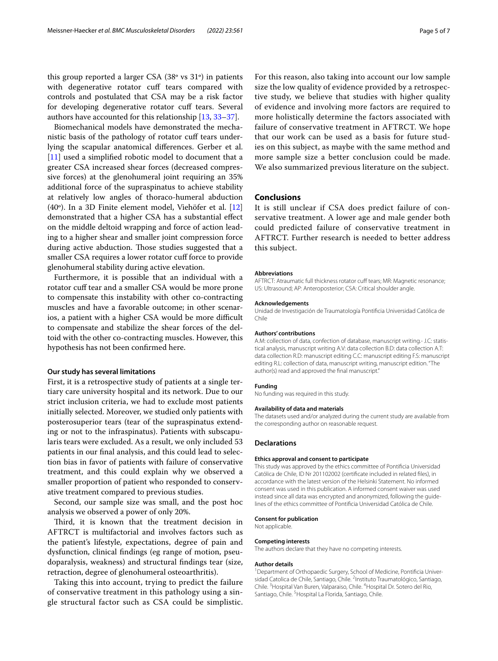this group reported a larger CSA (38º vs 31º) in patients with degenerative rotator cuff tears compared with controls and postulated that CSA may be a risk factor for developing degenerative rotator cuf tears. Several authors have accounted for this relationship [[13,](#page-5-12) [33](#page-5-25)[–37\]](#page-6-0).

Biomechanical models have demonstrated the mechanistic basis of the pathology of rotator cuf tears underlying the scapular anatomical diferences. Gerber et al. [[11\]](#page-5-10) used a simplified robotic model to document that a greater CSA increased shear forces (decreased compressive forces) at the glenohumeral joint requiring an 35% additional force of the supraspinatus to achieve stability at relatively low angles of thoraco-humeral abduction (40º). In a 3D Finite element model, Viehöfer et al. [[12](#page-5-11)] demonstrated that a higher CSA has a substantial efect on the middle deltoid wrapping and force of action leading to a higher shear and smaller joint compression force during active abduction. Those studies suggested that a smaller CSA requires a lower rotator cuff force to provide glenohumeral stability during active elevation.

Furthermore, it is possible that an individual with a rotator cuff tear and a smaller CSA would be more prone to compensate this instability with other co-contracting muscles and have a favorable outcome; in other scenarios, a patient with a higher CSA would be more difficult to compensate and stabilize the shear forces of the deltoid with the other co-contracting muscles. However, this hypothesis has not been confrmed here.

#### **Our study has several limitations**

First, it is a retrospective study of patients at a single tertiary care university hospital and its network. Due to our strict inclusion criteria, we had to exclude most patients initially selected. Moreover, we studied only patients with posterosuperior tears (tear of the supraspinatus extending or not to the infraspinatus). Patients with subscapularis tears were excluded. As a result, we only included 53 patients in our fnal analysis, and this could lead to selection bias in favor of patients with failure of conservative treatment, and this could explain why we observed a smaller proportion of patient who responded to conservative treatment compared to previous studies.

Second, our sample size was small, and the post hoc analysis we observed a power of only 20%.

Third, it is known that the treatment decision in AFTRCT is multifactorial and involves factors such as the patient's lifestyle, expectations, degree of pain and dysfunction, clinical fndings (eg range of motion, pseudoparalysis, weakness) and structural fndings tear (size, retraction, degree of glenohumeral osteoarthritis).

Taking this into account, trying to predict the failure of conservative treatment in this pathology using a single structural factor such as CSA could be simplistic.

For this reason, also taking into account our low sample size the low quality of evidence provided by a retrospective study, we believe that studies with higher quality of evidence and involving more factors are required to more holistically determine the factors associated with failure of conservative treatment in AFTRCT. We hope that our work can be used as a basis for future studies on this subject, as maybe with the same method and more sample size a better conclusion could be made. We also summarized previous literature on the subject.

#### **Conclusions**

It is still unclear if CSA does predict failure of conservative treatment. A lower age and male gender both could predicted failure of conservative treatment in AFTRCT. Further research is needed to better address this subject.

#### **Abbreviations**

AFTRCT: Atraumatic full thickness rotator cuff tears; MR: Magnetic resonance; US: Ultrasound; AP: Anteroposterior; CSA: Critical shoulder angle.

#### **Acknowledgements**

Unidad de Investigación de Traumatología Pontifcia Universidad Católica de Chile

#### **Authors' contributions**

A.M: collection of data, confection of database, manuscript writing.- J.C: statistical analysis, manuscript writing A.V: data collection B.D: data collection A.T: data collection R.D: manuscript editing C.C: manuscript editing F.S: manuscript editing R.L: collection of data, manuscript writing, manuscript edition."The author(s) read and approved the fnal manuscript."

#### **Funding**

No funding was required in this study.

## **Availability of data and materials**

The datasets used and/or analyzed during the current study are available from the corresponding author on reasonable request.

#### **Declarations**

#### **Ethics approval and consent to participate**

This study was approved by the ethics committee of Pontifcia Universidad Católica de Chile, ID Nr 201102002 (certifcate included in related fles), in accordance with the latest version of the Helsinki Statement. No informed consent was used in this publication. A informed consent waiver was used instead since all data was encrypted and anonymized, following the quidelines of the ethics committee of Pontifcia Universidad Católica de Chile.

#### **Consent for publication**

Not applicable.

#### **Competing interests**

The authors declare that they have no competing interests.

#### **Author details**

<sup>1</sup> Department of Orthopaedic Surgery, School of Medicine, Pontificia Universidad Catolica de Chile, Santiago, Chile. <sup>2</sup>Instituto Traumatológico, Santiago, Chile. <sup>3</sup> Hospital Van Buren, Valparaiso, Chile. <sup>4</sup> Hospital Dr. Sotero del Rio, Santiago, Chile. <sup>5</sup> Hospital La Florida, Santiago, Chile.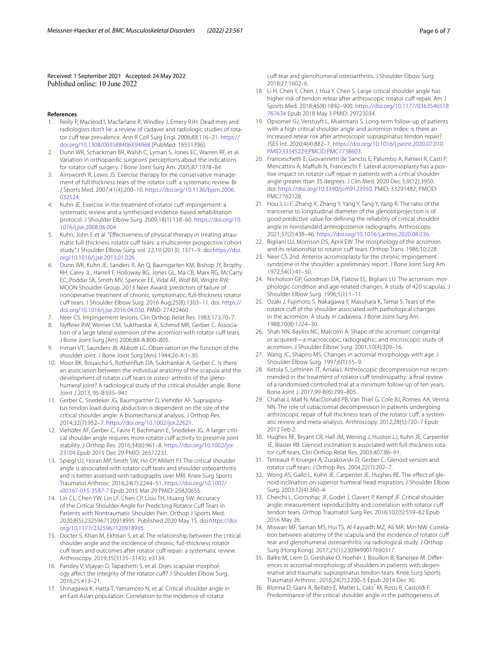Received: 1 September 2021 Accepted: 24 May 2022

#### **References**

- <span id="page-5-0"></span>Reilly P, Macleod I, Macfarlane R, Windley J, Emery RJH. Dead men and radiologists don't lie: a review of cadaver and radiologic studies of rotator cuff tear prevalence. Ann R Coll Surg Engl. 2006;88:116-21. [https://](https://doi.org/10.1308/003588406X94968) [doi.org/10.1308/003588406X94968](https://doi.org/10.1308/003588406X94968) [PubMed: 16551396].
- <span id="page-5-1"></span>2. Dunn WR, Schackman BR, Walsh C, Lyman S, Jones EC, Warren RF, et al. Variation in orthopaedic surgeons' perceptions about the indications for rotator cuff surgery. J Bone Joint Surg Am. 2005;87:1978-84.
- <span id="page-5-2"></span>3. Ainsworth R, Lewis JS. Exercise therapy for the conservative management of full thickness tears of the rotator cuff: a systematic review. Br J Sports Med. 2007;41(4):200–10. [https://doi.org/10.1136/bjsm.2006.](https://doi.org/10.1136/bjsm.2006.032524) [032524](https://doi.org/10.1136/bjsm.2006.032524).
- <span id="page-5-3"></span>4. Kuhn JE. Exercise in the treatment of rotator cuff impingement: a systematic review and a synthesized evidence-based rehabilitation protocol. J Shoulder Elbow Surg. 2009;18(1):138–60. [https://doi.org/10.](https://doi.org/10.1016/j.jse.2008.06.004) [1016/j.jse.2008.06.004](https://doi.org/10.1016/j.jse.2008.06.004)
- <span id="page-5-4"></span>5. Kuhn, John E et al. "Effectiveness of physical therapy in treating atraumatic full-thickness rotator cuff tears: a multicenter prospective cohort study."J Shoulder Elbow Surg. vol. 22,10 (2013): 1371–9. doi:[https://doi.](https://doi.org/10.1016/j.jse.2013.01.026) [org/10.1016/j.jse.2013.01.026](https://doi.org/10.1016/j.jse.2013.01.026)
- <span id="page-5-5"></span>6. Dunn WR, Kuhn JE, Sanders R, An Q, Baumgarten KM, Bishop JY, Brophy RH, Carey JL, Harrell F, Holloway BG, Jones GL, Ma CB, Marx RG, McCarty EC, Poddar SK, Smith MV, Spencer EE, Vidal AF, Wolf BR, Wright RW; MOON Shoulder Group. 2013 Neer Award: predictors of failure of nonoperative treatment of chronic, symptomatic, full-thickness rotator cuf tears. J Shoulder Elbow Surg. 2016 Aug;25(8):1303–11. doi: [https://](https://doi.org/10.1016/j.jse.2016.04.030) [doi.org/10.1016/j.jse.2016.04.030](https://doi.org/10.1016/j.jse.2016.04.030). PMID: 27422460.
- <span id="page-5-6"></span>7. Neer CS. Impingement lesions. Clin Orthop Relat Res. 1983;173:70–7.
- <span id="page-5-7"></span>8. Nyffeler RW, Werner CM, Sukthankar A, Schmid MR, Gerber C. Association of a large lateral extension of the acromion with rotator cuff tears. J Bone Joint Surg [Am] 2006;88-A:800–805.
- <span id="page-5-8"></span>9. Inman VT, Saunders JB, Abbott LC. Observation on the function of the shoulder joint. J Bone Joint Surg [Am] 1944;26-A:1–30.
- <span id="page-5-9"></span>10. Moor BK, Bouaicha S, Rothenfuh DA, Sukthankar A, Gerber C. Is there an association between the individual anatomy of the scapula and the development of rotator cuff tears or osteo- arthritis of the glenohumeral joint? A radiological study of the critical shoulder angle. Bone Joint J 2013, 95-B:935–941
- <span id="page-5-10"></span>11. Gerber C, Snedeker JG, Baumgartner D, Viehöfer AF. Supraspinatus tendon load during abduction is dependent on the size of the critical shoulder angle: A biomechanical analysis. J Orthop Res. 2014;32(7):952–7. [https://doi.org/10.1002/jor.22621.](https://doi.org/10.1002/jor.22621)
- <span id="page-5-11"></span>12. Viehöfer AF, Gerber C, Favre P, Bachmann E, Snedeker JG. A larger critical shoulder angle requires more rotator cuff activity to preserve joint stability. J Orthop Res. 2016;34(6):961–8. [https://doi.org/10.1002/jor.](https://doi.org/10.1002/jor.23104) [23104](https://doi.org/10.1002/jor.23104) Epub 2015 Dec 29 PMID: 26572231.
- <span id="page-5-12"></span>13. Spiegl UJ, Horan MP, Smith SW, Ho CP, Millett PJ. The critical shoulder angle is associated with rotator cuff tears and shoulder osteoarthritis and is better assessed with radiographs over MRI. Knee Surg Sports Traumatol Arthrosc. 2016;24(7):2244–51. [https://doi.org/10.1007/](https://doi.org/10.1007/s00167-015-3587-7) [s00167-015-3587-7](https://doi.org/10.1007/s00167-015-3587-7) Epub 2015 Mar 29 PMID: 25820655.
- 14. Lin CL, Chen YW, Lin LF, Chen CP, Liou TH, Huang SW. Accuracy of the Critical Shoulder Angle for Predicting Rotator Cuff Tears in Patients with Nontraumatic Shoulder Pain. Orthop J Sports Med. 2020;8(5):2325967120918995. Published 2020 May 15. doi[:https://doi.](https://doi.org/10.1177/2325967120918995) [org/10.1177/2325967120918995](https://doi.org/10.1177/2325967120918995)
- 15. Docter S, Khan M, Ekhtiari S, et al. The relationship between the critical shoulder angle and the incidence of chronic, full-thickness rotator cuff tears and outcomes after rotator cuff repair: a systematic review. Arthroscopy. 2019;35(3135–3143): e3134.
- 16. Pandey V, Vijayan D, Tapashetti S, et al. Does scapular morphology afect the integrity of the rotator cuf? J Shoulder Elbow Surg. 2016;25:413–21.
- <span id="page-5-13"></span>17. Shinagawa K, Hatta T, Yamamoto N, et al. Critical shoulder angle in an East Asian population: Correlation to the incidence of rotator

cuff tear and glenohumeral osteoarthritis. J Shoulder Elbow Surg. 2018;27:1602–6.

- <span id="page-5-14"></span>18. Li H, Chen Y, Chen J, Hua Y, Chen S. Large critical shoulder angle has higher risk of tendon retear after arthroscopic rotator cuff repair. Am J Sports Med. 2018;46(8):1892–900. [https://doi.org/10.1177/0363546518](https://doi.org/10.1177/0363546518767634) [767634](https://doi.org/10.1177/0363546518767634) Epub 2018 May 3 PMID: 29723034.
- 19. Opsomer GJ, Verstuyft L, Muermans S. Long-term follow-up of patients with a high critical shoulder angle and acromion index: is there an increased retear risk after arthroscopic supraspinatus tendon repair? JSES Int. 2020;4(4):882–7. [https://doi.org/10.1016/j.jseint.2020.07.010.](https://doi.org/10.1016/j.jseint.2020.07.010.PMID:33345229;PMCID:PMC7738603) [PMID:33345229;PMCID:PMC7738603.](https://doi.org/10.1016/j.jseint.2020.07.010.PMID:33345229;PMCID:PMC7738603)
- <span id="page-5-15"></span>20. Franceschetti E, Giovannetti de Sanctis E, Palumbo A, Ranieri R, Casti P, Mencattini A, Maffulli N, Franceschi F. Lateral acromioplasty has a positive impact on rotator cuff repair in patients with a critical shoulder angle greater than 35 degrees. J Clin Med. 2020 Dec 5;9(12):3950. doi: [https://doi.org/10.3390/jcm9123950.](https://doi.org/10.3390/jcm9123950) PMID: 33291482; PMCID: PMC7762128.
- <span id="page-5-16"></span>21. Hou J, Li F, Zhang X, Zhang Y, Yang Y, Tang Y, Yang R. The ratio of the transverse to longitudinal diameter of the glenoid projection is of good predictive value for defning the reliability of critical shoulder angle in nonstandard anteroposterior radiographs. Arthroscopy. 2021;37(2):438–46. <https://doi.org/10.1016/j.arthro.2020.08.036>.
- <span id="page-5-17"></span>22. Bigliani LU, Morrison DS, April EW. The morphology of the acromion and its relationship to rotator cuff tears. Orthop Trans. 1986;10:228.
- <span id="page-5-18"></span>23. Neer CS 2nd. Anterior acromioplasty for the chronic impingement syndrome in the shoulder: a preliminary report. J Bone Joint Surg Am. 1972;54(1):41–50.
- <span id="page-5-19"></span>24. Nicholson GP, Goodman DA, Flatow EL, Bigliani LU. The acromion: morphologic condition and age-related changes. A study of 420 scapulas. J Shoulder Elbow Surg. 1996;5(1):1–11.
- 25. Ozaki J, Fujimoto S, Nakagawa Y, Masuhara K, Tamai S. Tears of the rotator cuff of the shoulder associated with pathological changes in the acromion. A study in cadavera. J Bone Joint Surg Am. 1988;70(8):1224–30.
- 26. Shah NN, Bayliss NC, Malcolm A. Shape of the acromion: congenital or acquired—a macroscopic, radiographic, and microscopic study of acromion. J Shoulder Elbow Surg. 2001;10(4):309–16.
- <span id="page-5-20"></span>27. Wang JC, Shapiro MS. Changes in acromial morphology with age. J Shoulder Elbow Surg. 1997;6(1):55–9.
- <span id="page-5-21"></span>28. Ketola S, Lehtinen JT, Arnala I. Arthroscopic decompression not recommended in the treatment of rotator cuf tendinopathy: a fnal review of a randomised controlled trial at a minimum follow-up of ten years. Bone Joint J. 2017;99-B(6):799–805.
- <span id="page-5-22"></span>29. Chahal J, Mall N, MacDonald PB, Van Thiel G, Cole BJ, Romeo AA, Verma NN. The role of subacromial decompression in patients undergoing arthroscopic repair of full-thickness tears of the rotator cuff: a systematic review and meta-analysis. Arthroscopy. 2012;28(5):720–7 Epub 2012 Feb 2.
- <span id="page-5-23"></span>30. Hughes RE, Bryant CR, Hall JM, Wening J, Huston LJ, Kuhn JE, Carpenter JE, Blasier RB. Glenoid inclination is associated with full-thickness rotator cuff tears. Clin Orthop Relat Res. 2003;407:86-91.
- 31. Tetreault P, Krueger A, Zurakowski D, Gerber C. Glenoid version and rotator cuff tears. J Orthop Res. 2004;22(1):202-7.
- <span id="page-5-24"></span>32. Wong AS, Gallo L, Kuhn JE, Carpenter JE, Hughes RE. The effect of glenoid inclination on superior humeral head migration. J Shoulder Elbow Surg. 2003;12(4):360–4.
- <span id="page-5-25"></span>33. Cherchi L, Ciornohac JF, Godet J, Clavert P, Kempf JF. Critical shoulder angle: measurement reproducibility and correlation with rotator cuf tendon tears. Orthop Traumatol Surg Res. 2016;102(5):559–62 Epub 2016 May 26.
- 34. Miswan MF, Saman MS, Hui TS, Al-Fayyadh MZ, Ali MR, Min NW. Correlation between anatomy of the scapula and the incidence of rotator cuf tear and glenohumeral osteoarthritis via radiological study. J Orthop Surg (Hong Kong). 2017;25(1):2309499017690317.
- 35. Balke M, Liem D, Greshake O, Hoeher J, Bouillon B, Banerjee M. Differences in acromial morphology of shoulders in patients with degenerative and traumatic supraspinatus tendon tears. Knee Surg Sports Traumatol Arthrosc. 2016;24(7):2200–5 Epub 2014 Dec 30.
- 36. Blonna D, Giani A, Bellato E, Mattei L, Calo ́ M, Rossi R, Castoldi F. Predominance of the critical shoulder angle in the pathogenesis of